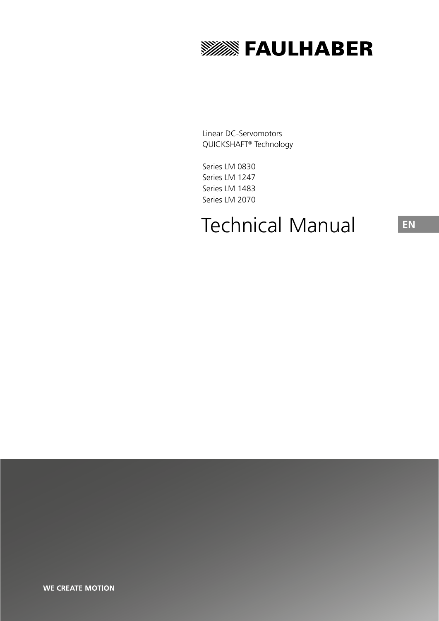

Linear DC-Servomotors QUICKSHAFT® Technology

Series LM 0830 Series LM 1247 Series LM 1483 Series LM 2070

# Technical Manual **EN**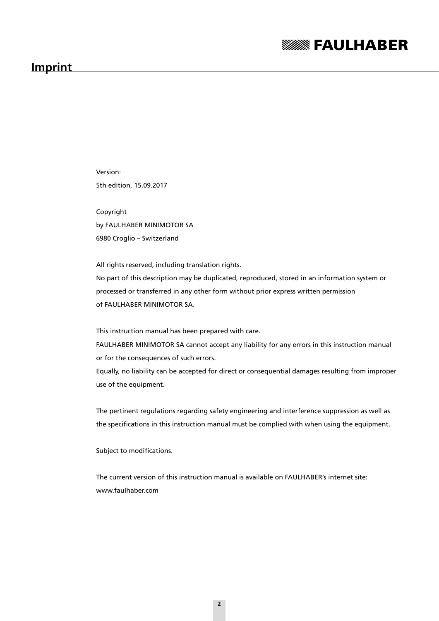### **Imprint**



Version: 5th edition, 15.09.2017

Copyright by FAULHABER MINIMOTOR SA 6980 Croglio – Switzerland

All rights reserved, including translation rights. No part of this description may be duplicated, reproduced, stored in an information system or processed or transferred in any other form without prior express written permission of FAULHABER MINIMOTOR SA.

This instruction manual has been prepared with care.

FAULHABER MINIMOTOR SA cannot accept any liability for any errors in this instruction manual or for the consequences of such errors.

Equally, no liability can be accepted for direct or consequential damages resulting from improper use of the equipment.

The pertinent regulations regarding safety engineering and interference suppression as well as the specifications in this instruction manual must be complied with when using the equipment.

Subject to modifications.

The current version of this instruction manual is available on FAULHABER's internet site: www.faulhaber.com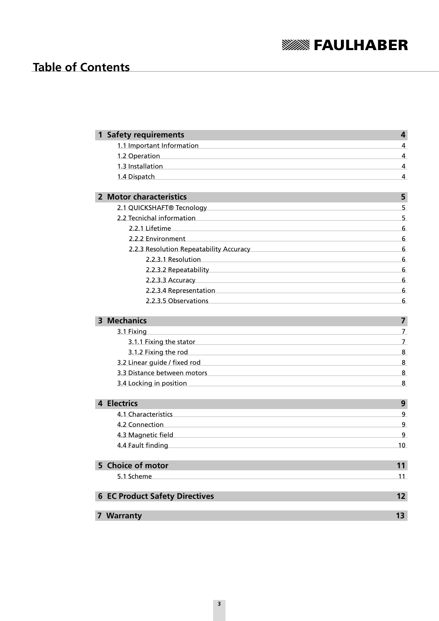## **Table of Contents**

| <b>1 Safety requirements</b>                                                                                                                                                                                                                       | 4               |
|----------------------------------------------------------------------------------------------------------------------------------------------------------------------------------------------------------------------------------------------------|-----------------|
| 1.1 Important Information                                                                                                                                                                                                                          | 4               |
| 1.2 Operation<br><u> 1980 - Johann John Stein, marwolaethau (b. 1980)</u>                                                                                                                                                                          | 4               |
| 1.3 Installation <b>All According to the Contract of According to the Contract of According to the Contract of According to the Contract of According to the Contract of According to the Contract of According to the Contract </b>               | 4               |
| 1.4 Dispatch                                                                                                                                                                                                                                       | 4               |
|                                                                                                                                                                                                                                                    |                 |
| 2 Motor characteristics                                                                                                                                                                                                                            | 5               |
| 2.1 QUICKSHAFT® Tecnology                                                                                                                                                                                                                          | 5               |
| 2.2 Tecnichal information and the contract of the contract of the contract of the contract of the contract of                                                                                                                                      | 5               |
| 2.2.1 Lifetime<br>and the control of the control of the control of the control of the control of the control of the control of the                                                                                                                 | 6               |
| 2.2.2 Environment                                                                                                                                                                                                                                  | 6               |
| 2.2.3 Resolution Repeatability Accuracy Manuscription and Control of the Case of the Case of the Case of the C                                                                                                                                     | $6\phantom{1}6$ |
| 2.2.3.1 Resolution<br><u> 1989 - Johann Barn, amerikansk politiker (d. 1989)</u>                                                                                                                                                                   | 6               |
| 2.2.3.2 Repeatability and a state of the state of the state of the state of the state of the state of the state of the state of the state of the state of the state of the state of the state of the state of the state of the                     | $6\phantom{1}6$ |
| 2.2.3.3 Accuracy <b>2.2.4 Accuracy</b> 2.2.3.3 Accuracy <b>2.2.4 Accuracy</b> 2.2.4 Accuracy <b>2.2.4 Accuracy</b> 2.2.4 Accuracy                                                                                                                  | 6               |
| 2.2.3.4 Representation and the state of the state of the state of the state of the state of the state of the state of the state of the state of the state of the state of the state of the state of the state of the state of                      | 6               |
| 2.2.3.5 Observations                                                                                                                                                                                                                               | 6               |
|                                                                                                                                                                                                                                                    |                 |
| <b>3 Mechanics</b>                                                                                                                                                                                                                                 | $\overline{7}$  |
| 3.1 Fixing                                                                                                                                                                                                                                         | 7               |
| 3.1.1 Fixing the stator and a state of the state of the state of the state of the state of the state of the st                                                                                                                                     | $\overline{7}$  |
| 3.1.2 Fixing the rod<br><u> 1980 - Johann Barbara, martxa alemaniar argumento este alemaniar alemaniar alemaniar alemaniar alemaniar al</u>                                                                                                        | 8               |
| 3.2 Linear guide / fixed rod                                                                                                                                                                                                                       | 8               |
| 3.3 Distance between motors and the control of the control of the control of the control of the control of the                                                                                                                                     | 8               |
| 3.4 Locking in position and the control of the control of the control of the control of the control of the control of the control of the control of the control of the control of the control of the control of the control of                     | 8               |
|                                                                                                                                                                                                                                                    |                 |
| 4 Electrics                                                                                                                                                                                                                                        | 9               |
| 4.1 Characteristics                                                                                                                                                                                                                                | 9               |
| 4.2 Connection                                                                                                                                                                                                                                     | 9               |
| 4.3 Magnetic field<br>and the control of the control of the control of the control of the control of the control of                                                                                                                                | 9               |
| 4.4 Fault finding<br>the control of the control of the control of the control of the control of the control of the control of the control of the control of the control of the control of the control of the control of the control of the control | 10              |
| 5 Choice of motor                                                                                                                                                                                                                                  | 11              |
| 5.1 Scheme                                                                                                                                                                                                                                         | 11              |
|                                                                                                                                                                                                                                                    |                 |
| <b>6 EC Product Safety Directives</b>                                                                                                                                                                                                              | 12              |
| 7 Warranty                                                                                                                                                                                                                                         | 13              |
|                                                                                                                                                                                                                                                    |                 |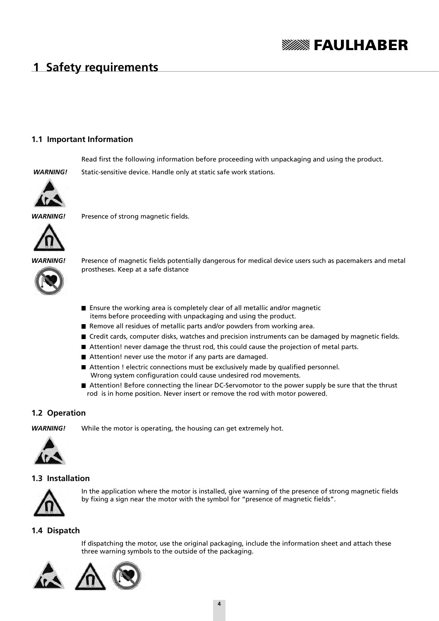## **SSEER EAULHABER**

### **1 Safety requirements**

### **1.1 Important Information**

Read first the following information before proceeding with unpackaging and using the product. WARNING! Static-sensitive device. Handle only at static safe work stations.



*WARNING!* Presence of strong magnetic fields.





*WARNING!* Presence of magnetic fields potentially dangerous for medical device users such as pacemakers and metal prostheses. Keep at a safe distance

- Ensure the working area is completely clear of all metallic and/or magnetic items before proceeding with unpackaging and using the product.
- Remove all residues of metallic parts and/or powders from working area.
- Credit cards, computer disks, watches and precision instruments can be damaged by magnetic fields.
- Attention! never damage the thrust rod, this could cause the projection of metal parts.
- Attention! never use the motor if any parts are damaged.
- Attention ! electric connections must be exclusively made by qualified personnel. Wrong system configuration could cause undesired rod movements.
- Attention! Before connecting the linear DC-Servomotor to the power supply be sure that the thrust rod is in home position. Never insert or remove the rod with motor powered.

### **1.2 Operation**

*WARNING!* While the motor is operating, the housing can get extremely hot.



### **1.3 Installation**



In the application where the motor is installed, give warning of the presence of strong magnetic fields by fixing a sign near the motor with the symbol for "presence of magnetic fields".

### **1.4 Dispatch**

If dispatching the motor, use the original packaging, include the information sheet and attach these three warning symbols to the outside of the packaging.

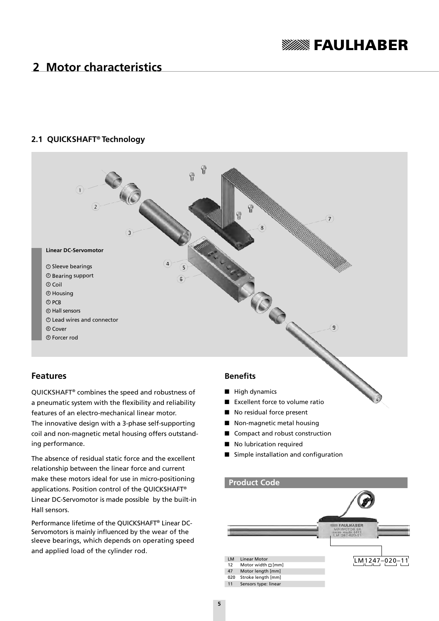## **SSEES FAULHABER**

### **2 Motor characteristics**

### **2.1 QUICKSHAFT® Technology**



### **Features**

QUICKSHAFT® combines the speed and robustness of a pneumatic system with the flexibility and reliability features of an electro-mechanical linear motor. The innovative design with a 3-phase self-supporting coil and non-magnetic metal housing offers outstanding performance.

The absence of residual static force and the excellent relationship between the linear force and current make these motors ideal for use in micro-positioning applications. Position control of the QUICKSHAFT® Linear DC-Servomotor is made possible by the built-in Hall sensors.

Performance lifetime of the QUICKSHAFT® Linear DC-Servomotors is mainly influenced by the wear of the sleeve bearings, which depends on operating speed and applied load of the cylinder rod.

### **Benefits**

- $\blacksquare$  High dynamics
- Excellent force to volume ratio
- No residual force present
- Non-magnetic metal housing
- Compact and robust construction
- No lubrication required
- Simple installation and configuration

### **Product Code**

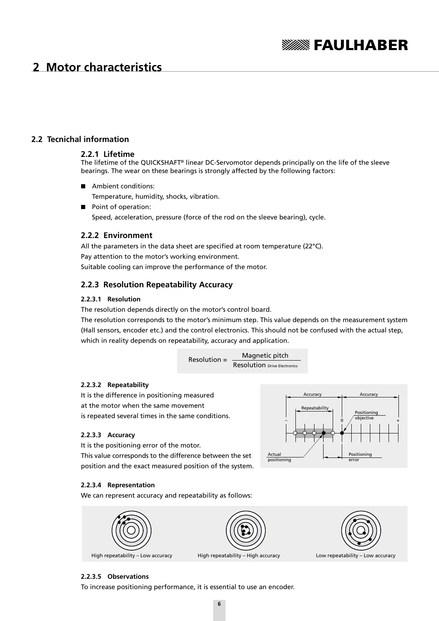## **SSEER EAULHABER**

### **2 Motor characteristics**

### **2.2 Tecnichal information**

### **2.2.1 Lifetime**

The lifetime of the QUICKSHAFT® linear DC-Servomotor depends principally on the life of the sleeve bearings. The wear on these bearings is strongly affected by the following factors:

**Ambient conditions:** 

Temperature, humidity, shocks, vibration.

Point of operation: Speed, acceleration, pressure (force of the rod on the sleeve bearing), cycle.

### **2.2.2 Environment**

All the parameters in the data sheet are specified at room temperature (22°C). Pay attention to the motor's working environment.

Suitable cooling can improve the performance of the motor.

### **2.2.3 Resolution Repeatability Accuracy**

#### **2.2.3.1 Resolution**

The resolution depends directly on the motor's control board.

The resolution corresponds to the motor's minimum step. This value depends on the measurement system (Hall sensors, encoder etc.) and the control electronics. This should not be confused with the actual step, which in reality depends on repeatability, accuracy and application.



#### **2.2.3.2 Repeatability**

It is the difference in positioning measured at the motor when the same movement is repeated several times in the same conditions.

#### **2.2.3.3 Accuracy**

It is the positioning error of the motor. This value corresponds to the difference between the set position and the exact measured position of the system.



#### **2.2.3.4 Representation**

We can represent accuracy and repeatability as follows:



### **2.2.3.5 Observations**

To increase positioning performance, it is essential to use an encoder.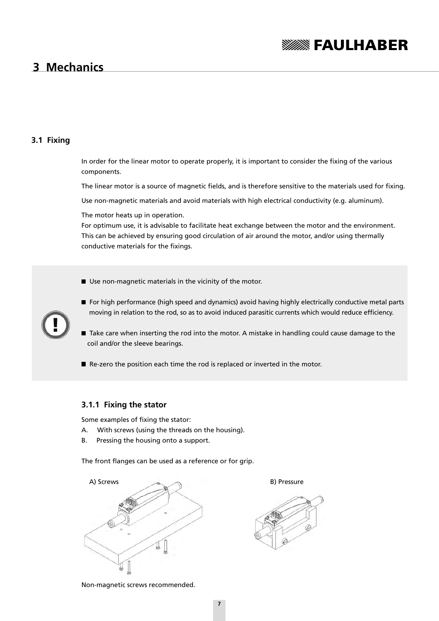## **SSEES FAULHABER**

### **3 Mechanics**

### **3.1 Fixing**

In order for the linear motor to operate properly, it is important to consider the fixing of the various components.

The linear motor is a source of magnetic fields, and is therefore sensitive to the materials used for fixing.

Use non-magnetic materials and avoid materials with high electrical conductivity (e.g. aluminum).

The motor heats up in operation.

For optimum use, it is advisable to facilitate heat exchange between the motor and the environment. This can be achieved by ensuring good circulation of air around the motor, and/or using thermally conductive materials for the fixings.

- Use non-magnetic materials in the vicinity of the motor.
- For high performance (high speed and dynamics) avoid having highly electrically conductive metal parts moving in relation to the rod, so as to avoid induced parasitic currents which would reduce efficiency.
- Take care when inserting the rod into the motor. A mistake in handling could cause damage to the coil and/or the sleeve bearings.
- Re-zero the position each time the rod is replaced or inverted in the motor.

### **3.1.1 Fixing the stator**

Some examples of fixing the stator:

- A. With screws (using the threads on the housing).
- B. Pressing the housing onto a support.

The front flanges can be used as a reference or for grip.





Non-magnetic screws recommended.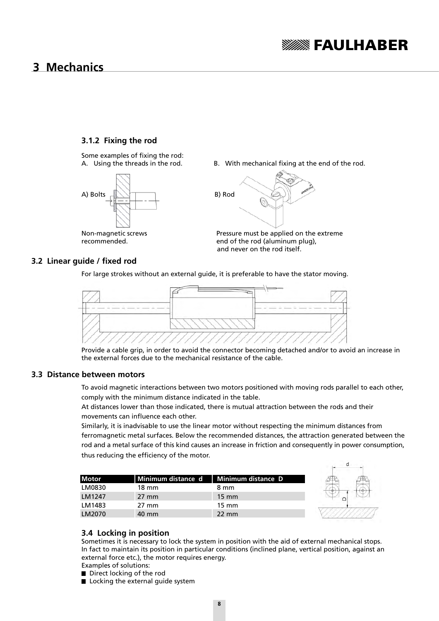## **SSEER EAULHABER**

### **3 Mechanics**

### **3.1.2 Fixing the rod**

Some examples of fixing the rod:



A. Using the threads in the rod. B. With mechanical fixing at the end of the rod.



Non-magnetic screws Pressure must be applied on the extreme recommended. The root of the rod (aluminum plug), and never on the rod itself.

### **3.2 Linear guide / fixed rod**

For large strokes without an external guide, it is preferable to have the stator moving.



Provide a cable grip, in order to avoid the connector becoming detached and/or to avoid an increase in the external forces due to the mechanical resistance of the cable.

### **3.3 Distance between motors**

To avoid magnetic interactions between two motors positioned with moving rods parallel to each other, comply with the minimum distance indicated in the table.

At distances lower than those indicated, there is mutual attraction between the rods and their movements can influence each other.

Similarly, it is inadvisable to use the linear motor without respecting the minimum distances from ferromagnetic metal surfaces. Below the recommended distances, the attraction generated between the rod and a metal surface of this kind causes an increase in friction and consequently in power consumption, thus reducing the efficiency of the motor.

| <b>Motor</b> | l Minimum distance d | Minimum distance D |
|--------------|----------------------|--------------------|
| LM0830       | $18 \text{ mm}$      | 8 mm               |
| LM1247       | $27 \text{ mm}$      | $15 \text{ mm}$    |
| LM1483       | $27 \text{ mm}$      | $15 \text{ mm}$    |
| LM2070       | 40 mm                | $22 \text{ mm}$    |



### **3.4 Locking in position**

Sometimes it is necessary to lock the system in position with the aid of external mechanical stops. In fact to maintain its position in particular conditions (inclined plane, vertical position, against an external force etc.), the motor requires energy.

Examples of solutions:

- Direct locking of the rod
- Locking the external guide system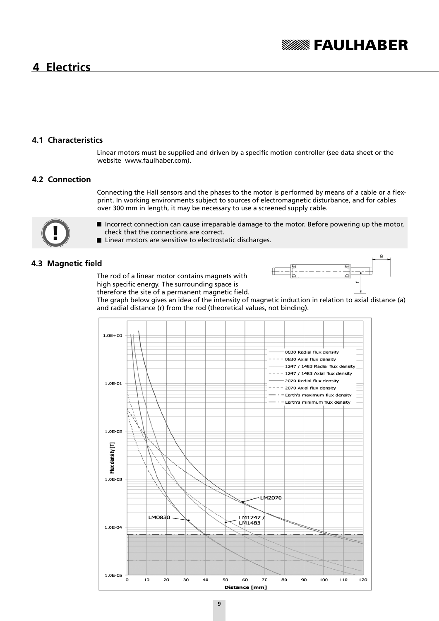### **4 Electrics**

### **4.1 Characteristics**

Linear motors must be supplied and driven by a specific motion controller (see data sheet or the website www.faulhaber.com).

### **4.2 Connection**

Connecting the Hall sensors and the phases to the motor is performed by means of a cable or a flex print. In working environments subject to sources of electromagnetic disturbance, and for cables over 300 mm in length, it may be necessary to use a screened supply cable.



- **Incorrect connection can cause irreparable damage to the motor. Before powering up the motor,** check that the connections are correct.
- Linear motors are sensitive to electrostatic discharges.

### **4.3 Magnetic field**

The rod of a linear motor contains magnets with high specific energy. The surrounding space is therefore the site of a permanent magnetic field.



The graph below gives an idea of the intensity of magnetic induction in relation to axial distance (a) and radial distance (r) from the rod (theoretical values, not binding).

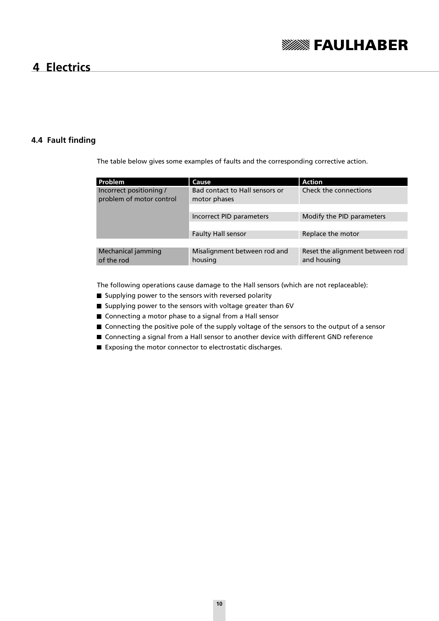### **4 Electrics**

### **4.4 Fault finding**

The table below gives some examples of faults and the corresponding corrective action.

| <b>Problem</b>                                      | <b>Cause</b>                                   | <b>Action</b>                                  |
|-----------------------------------------------------|------------------------------------------------|------------------------------------------------|
| Incorrect positioning /<br>problem of motor control | Bad contact to Hall sensors or<br>motor phases | Check the connections                          |
|                                                     |                                                |                                                |
|                                                     | Incorrect PID parameters                       | Modify the PID parameters                      |
|                                                     |                                                |                                                |
|                                                     | <b>Faulty Hall sensor</b>                      | Replace the motor                              |
|                                                     |                                                |                                                |
| Mechanical jamming<br>of the rod                    | Misalignment between rod and<br>housing        | Reset the alignment between rod<br>and housing |

The following operations cause damage to the Hall sensors (which are not replaceable):

- Supplying power to the sensors with reversed polarity
- Supplying power to the sensors with voltage greater than 6V
- Connecting a motor phase to a signal from a Hall sensor
- Connecting the positive pole of the supply voltage of the sensors to the output of a sensor
- Connecting a signal from a Hall sensor to another device with different GND reference
- Exposing the motor connector to electrostatic discharges.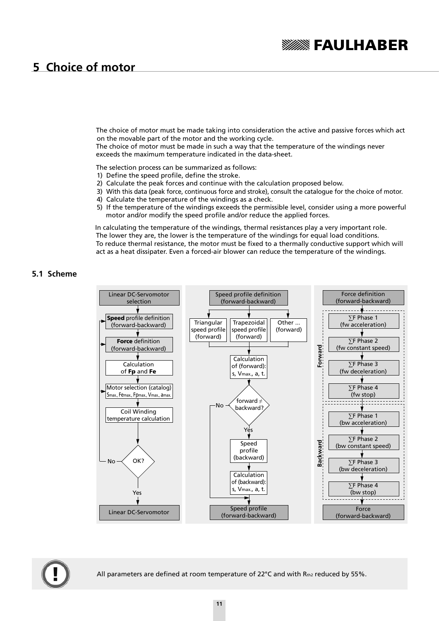### **5 Choice of motor**

The choice of motor must be made taking into consideration the active and passive forces which act on the movable part of the motor and the working cycle.

The choice of motor must be made in such a way that the temperature of the windings never exceeds the maximum temperature indicated in the data-sheet.

The selection process can be summarized as follows:

- 1) Define the speed profile, define the stroke.
- 2) Calculate the peak forces and continue with the calculation proposed below.
- 3) With this data (peak force, continuous force and stroke), consult the catalogue for the choice of motor.
- 4) Calculate the temperature of the windings as a check.
- 5) If the temperature of the windings exceeds the permissible level, consider using a more powerful motor and/or modify the speed profile and/or reduce the applied forces.

In calculating the temperature of the windings, thermal resistances play a very important role. The lower they are, the lower is the temperature of the windings for equal load conditions. To reduce thermal resistance, the motor must be fixed to a thermally conductive support which will act as a heat dissipater. Even a forced-air blower can reduce the temperature of the windings.

### **5.1 Scheme**





All parameters are defined at room temperature of 22 $^{\circ}$ C and with Rth<sub>2</sub> reduced by 55%.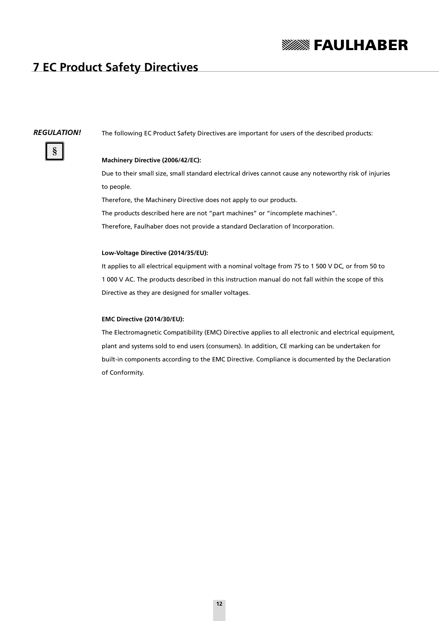### **7 EC Product Safety Directives**

### *REGULATION!*

 $\mathcal{S}_{0}$ 

The following EC Product Safety Directives are important for users of the described products:

#### **Machinery Directive (2006/42/EC):**

Due to their small size, small standard electrical drives cannot cause any noteworthy risk of injuries to people. Therefore, the Machinery Directive does not apply to our products. The products described here are not "part machines" or "incomplete machines". Therefore, Faulhaber does not provide a standard Declaration of Incorporation.

#### **Low-Voltage Directive (2014/35/EU):**

It applies to all electrical equipment with a nominal voltage from 75 to 1 500 V DC, or from 50 to 1 000 V AC. The products described in this instruction manual do not fall within the scope of this Directive as they are designed for smaller voltages.

#### **EMC Directive (2014/30/EU):**

The Electromagnetic Compatibility (EMC) Directive applies to all electronic and electrical equipment, plant and systems sold to end users (consumers). In addition, CE marking can be undertaken for built-in components according to the EMC Directive. Compliance is documented by the Declaration of Conformity.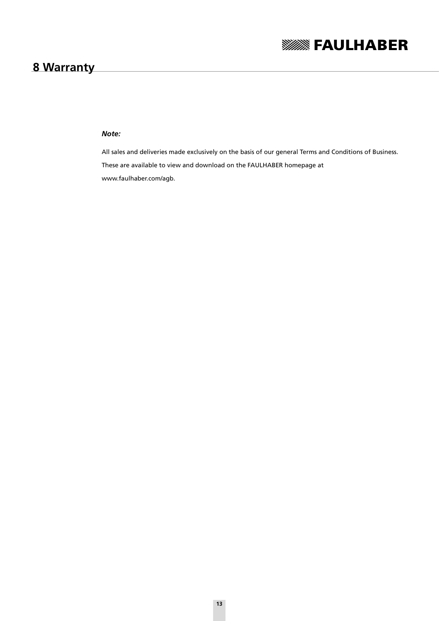### **8 Warranty**

### *Note:*

All sales and deliveries made exclusively on the basis of our general Terms and Conditions of Business. These are available to view and download on the FAULHABER homepage at www.faulhaber.com/agb.